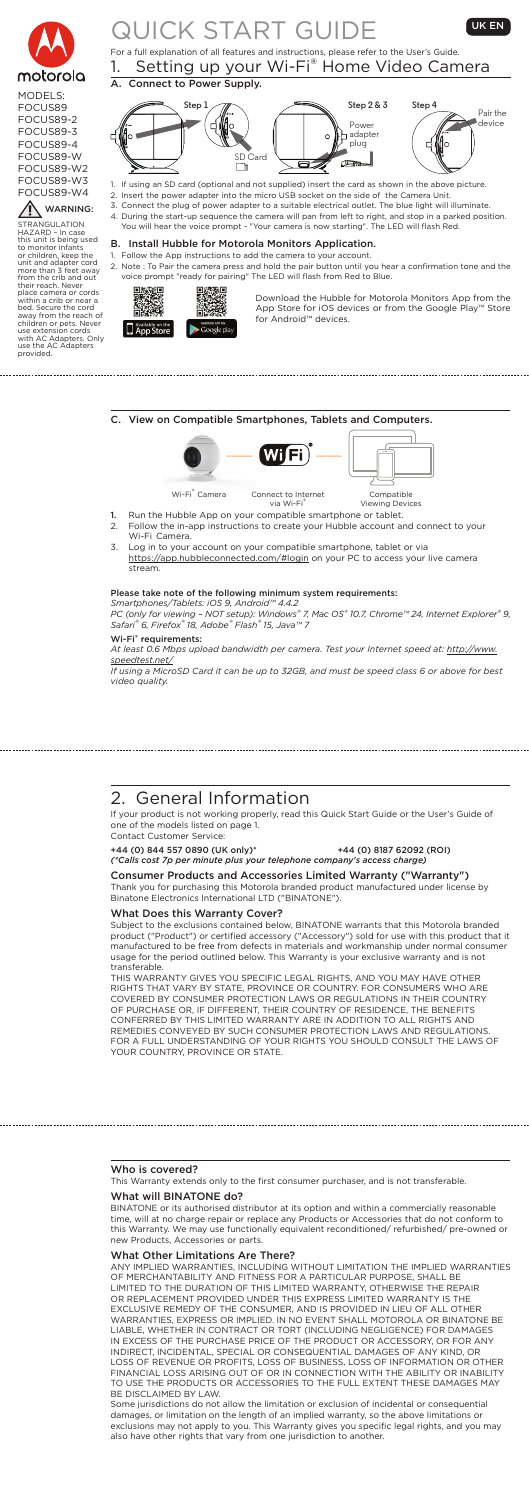

### MODELS: FOCUS89 FOCUS89-2 FOCUS89-3 FOCUS89-4 FOCUS89-W FOCUS89-W2

FOCUS89-W3 FOCUS89-W4

WARNING:

## QUICK START GUIDE UKEN For a full explanation of all features and instructions, please refer to the User's Guide.

Follow the App instructions to add the camera to your account. 2. Note : To Pair the camera press and hold the pair button until you hear a confirmation tone and the voice prompt "ready for pairing" The LED will flash from Red to Blue.



### B. Install Hubble for Motorola Monitors Application.

1. Setting up your Wi-Fi® Home Video Camera A. Connect to Power Supply. **Step 1 Step 2 & 3 Step 4** Power

> Download the Hubble for Motorola Monitors App from the App Store for iOS devices or from the Google Play™ Store for Android™ devices.

> > ٦.



Fi Wi-Fi<sup>®</sup> Camera Connect to Internet<br>via Wi-Fi<sup>®</sup> via Wi-Fi® Compatible Viewing Devices 1. Run the Hubble App on your compatible smartphone or tablet.<br>2. Follow the in-app instructions to create your Hubble account a Follow the in-app instructions to create your Hubble account and connect to your Wi-Fi Camera. 3. Log in to your account on your compatible smartphone, tablet or via

https://app.hubbleconnected.com/#login on your PC to access your live camera stream.

- 1. If using an SD card (optional and not supplied) insert the card as shown in the above picture.
- 2. Insert the power adapter into the micro USB socket on the side of the Camera Unit. 3. Connect the plug of power adapter to a suitable electrical outlet. The blue light will illuminate.
	- 4. During the start-up sequence the camera will pan from left to right, and stop in a parked position. You will hear the voice prompt - "Your camera is now starting". The LED will flash Red.

STRANGULATION HAZARD – In case this unit is being used to monitor infants or children, keep the unit and adapter cord more than 3 feet away

from the crib and out<br>their reach. Never<br>place camera or cords<br>within a crib or near a<br>bed. Secure the cord<br>away from the reach of<br>children or pets. Never<br>use extension cords<br>with AC Adapters. Only<br>with AC Adapters

provided.

C. View on Compatible Smartphones, Tablets and Computers.

#### Please take note of the following minimum system requirements:

*Smartphones/Tablets: iOS 9, Android™ 4.4.2 PC (only for viewing – NOT setup): Windows® 7, Mac OS® 10.7, Chrome™ 24, Internet Explorer® 9, Safari® 6, Firefox® 18, Adobe® Flash® 15, Java™ 7*

#### Wi-Fi® requirements:

*At least 0.6 Mbps upload bandwidth per camera. Test your Internet speed at: http://www. speedtest.net/*

*If using a MicroSD Card it can be up to 32GB, and must be speed class 6 or above for best video quality.*

## 2. General Information

If your product is not working properly, read this Quick Start Guide or the User's Guide of one of the models listed on page 1. Contact Customer Service:

+44 (0) 844 557 0890 (UK only)\* +44 (0) 8187 62092 (ROI) *(\*Calls cost 7p per minute plus your telephone company's access charge)* 

#### Consumer Products and Accessories Limited Warranty ("Warranty") Thank you for purchasing this Motorola branded product manufactured under license by Binatone Electronics International LTD ("BINATONE").

What Does this Warranty Cover?

Subject to the exclusions contained below, BINATONE warrants that this Motorola branded product ("Product") or certified accessory ("Accessory") sold for use with this product that it manufactured to be free from defects in materials and workmanship under normal consumer usage for the period outlined below. This Warranty is your exclusive warranty and is not transferable.

THIS WARRANTY GIVES YOU SPECIFIC LEGAL RIGHTS, AND YOU MAY HAVE OTHER RIGHTS THAT VARY BY STATE, PROVINCE OR COUNTRY. FOR CONSUMERS WHO ARE COVERED BY CONSUMER PROTECTION LAWS OR REGULATIONS IN THEIR COUNTRY OF PURCHASE OR, IF DIFFERENT, THEIR COUNTRY OF RESIDENCE, THE BENEFITS CONFERRED BY THIS LIMITED WARRANTY ARE IN ADDITION TO ALL RIGHTS AND REMEDIES CONVEYED BY SUCH CONSUMER PROTECTION LAWS AND REGULATIONS. FOR A FULL UNDERSTANDING OF YOUR RIGHTS YOU SHOULD CONSULT THE LAWS OF YOUR COUNTRY, PROVINCE OR STATE.

#### Who is covered?

This Warranty extends only to the first consumer purchaser, and is not transferable.

#### What will BINATONE do?

BINATONE or its authorised distributor at its option and within a commercially reasonable time, will at no charge repair or replace any Products or Accessories that do not conform to this Warranty. We may use functionally equivalent reconditioned/ refurbished/ pre-owned or new Products, Accessories or parts.

#### What Other Limitations Are There?

ANY IMPLIED WARRANTIES, INCLUDING WITHOUT LIMITATION THE IMPLIED WARRANTIES OF MERCHANTABILITY AND FITNESS FOR A PARTICULAR PURPOSE, SHALL BE LIMITED TO THE DURATION OF THIS LIMITED WARRANTY, OTHERWISE THE REPAIR OR REPLACEMENT PROVIDED UNDER THIS EXPRESS LIMITED WARRANTY IS THE EXCLUSIVE REMEDY OF THE CONSUMER, AND IS PROVIDED IN LIEU OF ALL OTHER WARRANTIES, EXPRESS OR IMPLIED. IN NO EVENT SHALL MOTOROLA OR BINATONE BE LIABLE, WHETHER IN CONTRACT OR TORT (INCLUDING NEGLIGENCE) FOR DAMAGES IN EXCESS OF THE PURCHASE PRICE OF THE PRODUCT OR ACCESSORY, OR FOR ANY INDIRECT, INCIDENTAL, SPECIAL OR CONSEQUENTIAL DAMAGES OF ANY KIND, OR LOSS OF REVENUE OR PROFITS, LOSS OF BUSINESS, LOSS OF INFORMATION OR OTHER FINANCIAL LOSS ARISING OUT OF OR IN CONNECTION WITH THE ABILITY OR INABILITY TO USE THE PRODUCTS OR ACCESSORIES TO THE FULL EXTENT THESE DAMAGES MAY BE DISCLAIMED BY LAW.

Some jurisdictions do not allow the limitation or exclusion of incidental or consequential damages, or limitation on the length of an implied warranty, so the above limitations or exclusions may not apply to you. This Warranty gives you specific legal rights, and you may also have other rights that vary from one jurisdiction to another.